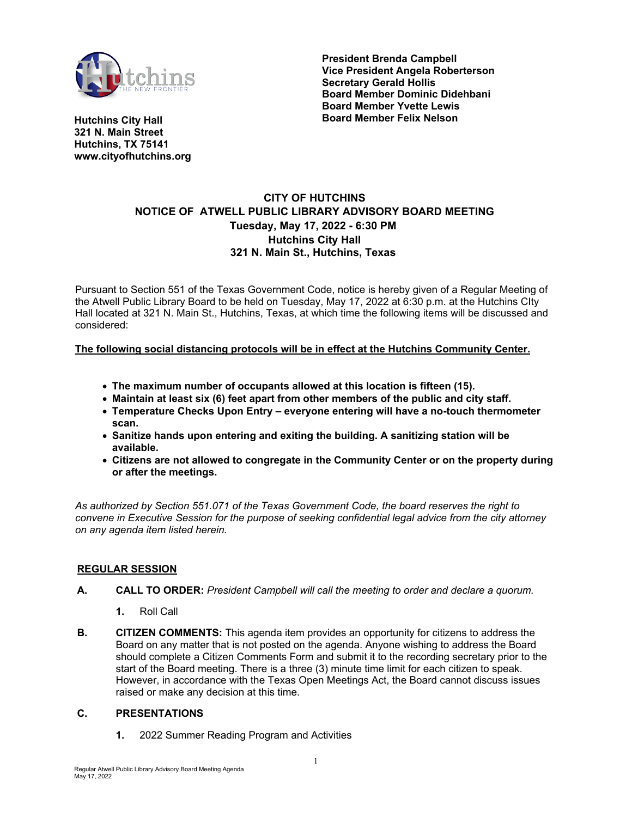

**President Brenda Campbell Vice President Angela Roberterson Secretary Gerald Hollis Board Member Dominic Didehbani Board Member Yvette Lewis Board Member Felix Nelson**

**Hutchins City Hall 321 N. Main Street Hutchins, TX 75141 www.cityofhutchins.org**

# **CITY OF HUTCHINS NOTICE OF ATWELL PUBLIC LIBRARY ADVISORY BOARD MEETING Tuesday, May 17, 2022 - 6:30 PM Hutchins City Hall 321 N. Main St., Hutchins, Texas**

Pursuant to Section 551 of the Texas Government Code, notice is hereby given of a Regular Meeting of the Atwell Public Library Board to be held on Tuesday, May 17, 2022 at 6:30 p.m. at the Hutchins CIty Hall located at 321 N. Main St., Hutchins, Texas, at which time the following items will be discussed and considered:

## **The following social distancing protocols will be in effect at the Hutchins Community Center.**

- **The maximum number of occupants allowed at this location is fifteen (15).**
- **Maintain at least six (6) feet apart from other members of the public and city staff.**
- **Temperature Checks Upon Entry everyone entering will have a no-touch thermometer scan.**
- **Sanitize hands upon entering and exiting the building. A sanitizing station will be available.**
- **Citizens are not allowed to congregate in the Community Center or on the property during or after the meetings.**

*As authorized by Section 551.071 of the Texas Government Code, the board reserves the right to convene in Executive Session for the purpose of seeking confidential legal advice from the city attorney on any agenda item listed herein.*

#### **REGULAR SESSION**

- **A. CALL TO ORDER:** *President Campbell will call the meeting to order and declare a quorum.* 
	- **1.** Roll Call
- **B. CITIZEN COMMENTS:** This agenda item provides an opportunity for citizens to address the Board on any matter that is not posted on the agenda. Anyone wishing to address the Board should complete a Citizen Comments Form and submit it to the recording secretary prior to the start of the Board meeting. There is a three (3) minute time limit for each citizen to speak. However, in accordance with the Texas Open Meetings Act, the Board cannot discuss issues raised or make any decision at this time.

#### **C. PRESENTATIONS**

**1.** 2022 Summer Reading Program and Activities